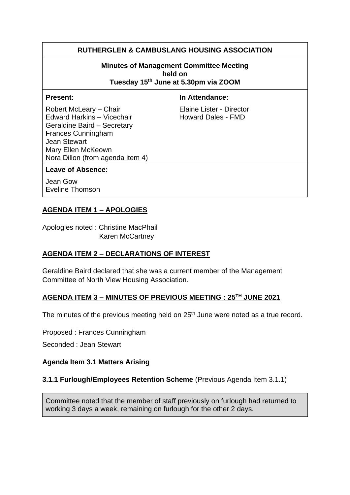# **RUTHERGLEN & CAMBUSLANG HOUSING ASSOCIATION**

#### **Minutes of Management Committee Meeting held on Tuesday 15 th June at 5.30pm via ZOOM**

#### **Present:** In Attendance:

Robert McLeary – Chair Elaine Lister - Director Edward Harkins – Vicechair **Howard Dales - FMD** Geraldine Baird – Secretary Frances Cunningham Jean Stewart Mary Ellen McKeown Nora Dillon (from agenda item 4)

#### **Leave of Absence:**

Jean Gow Eveline Thomson

## **AGENDA ITEM 1 – APOLOGIES**

Apologies noted : Christine MacPhail Karen McCartney

#### **AGENDA ITEM 2 – DECLARATIONS OF INTEREST**

Geraldine Baird declared that she was a current member of the Management Committee of North View Housing Association.

#### **AGENDA ITEM 3 – MINUTES OF PREVIOUS MEETING : 25TH JUNE 2021**

The minutes of the previous meeting held on 25<sup>th</sup> June were noted as a true record.

Proposed : Frances Cunningham

Seconded : Jean Stewart

#### **Agenda Item 3.1 Matters Arising**

#### **3.1.1 Furlough/Employees Retention Scheme** (Previous Agenda Item 3.1.1)

Committee noted that the member of staff previously on furlough had returned to working 3 days a week, remaining on furlough for the other 2 days.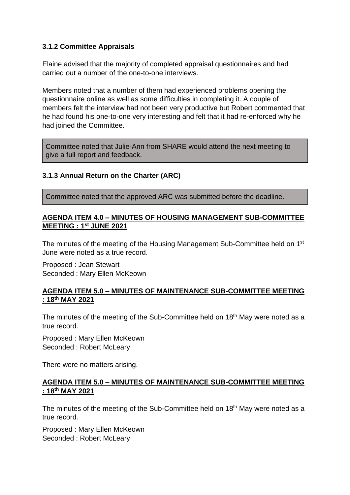## **3.1.2 Committee Appraisals**

Elaine advised that the majority of completed appraisal questionnaires and had carried out a number of the one-to-one interviews.

Members noted that a number of them had experienced problems opening the questionnaire online as well as some difficulties in completing it. A couple of members felt the interview had not been very productive but Robert commented that he had found his one-to-one very interesting and felt that it had re-enforced why he had joined the Committee.

Committee noted that Julie-Ann from SHARE would attend the next meeting to give a full report and feedback.

# **3.1.3 Annual Return on the Charter (ARC)**

Committee noted that the approved ARC was submitted before the deadline.

## **AGENDA ITEM 4.0 – MINUTES OF HOUSING MANAGEMENT SUB-COMMITTEE MEETING : 1st JUNE 2021**

The minutes of the meeting of the Housing Management Sub-Committee held on 1st June were noted as a true record.

Proposed : Jean Stewart Seconded : Mary Ellen McKeown

## **AGENDA ITEM 5.0 – MINUTES OF MAINTENANCE SUB-COMMITTEE MEETING : 18 th MAY 2021**

The minutes of the meeting of the Sub-Committee held on 18<sup>th</sup> May were noted as a true record.

Proposed : Mary Ellen McKeown Seconded : Robert McLeary

There were no matters arising.

#### **AGENDA ITEM 5.0 – MINUTES OF MAINTENANCE SUB-COMMITTEE MEETING : 18th MAY 2021**

The minutes of the meeting of the Sub-Committee held on 18<sup>th</sup> May were noted as a true record.

Proposed : Mary Ellen McKeown Seconded : Robert McLeary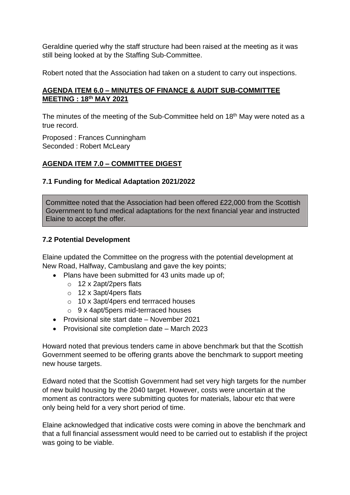Geraldine queried why the staff structure had been raised at the meeting as it was still being looked at by the Staffing Sub-Committee.

Robert noted that the Association had taken on a student to carry out inspections.

# **AGENDA ITEM 6.0 – MINUTES OF FINANCE & AUDIT SUB-COMMITTEE MEETING : 18th MAY 2021**

The minutes of the meeting of the Sub-Committee held on 18<sup>th</sup> May were noted as a true record.

Proposed : Frances Cunningham Seconded : Robert McLeary

# **AGENDA ITEM 7.0 – COMMITTEE DIGEST**

## **7.1 Funding for Medical Adaptation 2021/2022**

Committee noted that the Association had been offered £22,000 from the Scottish Government to fund medical adaptations for the next financial year and instructed Elaine to accept the offer.

# **7.2 Potential Development**

Elaine updated the Committee on the progress with the potential development at New Road, Halfway, Cambuslang and gave the key points;

- Plans have been submitted for 43 units made up of;
	- o 12 x 2apt/2pers flats
	- o 12 x 3apt/4pers flats
	- o 10 x 3apt/4pers end terrraced houses
	- o 9 x 4apt/5pers mid-terrraced houses
- Provisional site start date November 2021
- Provisional site completion date March 2023

Howard noted that previous tenders came in above benchmark but that the Scottish Government seemed to be offering grants above the benchmark to support meeting new house targets.

Edward noted that the Scottish Government had set very high targets for the number of new build housing by the 2040 target. However, costs were uncertain at the moment as contractors were submitting quotes for materials, labour etc that were only being held for a very short period of time.

Elaine acknowledged that indicative costs were coming in above the benchmark and that a full financial assessment would need to be carried out to establish if the project was going to be viable.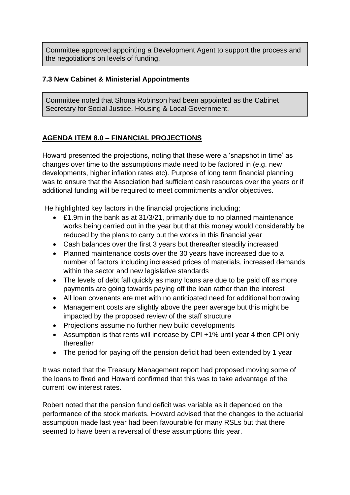Committee approved appointing a Development Agent to support the process and the negotiations on levels of funding.

# **7.3 New Cabinet & Ministerial Appointments**

Committee noted that Shona Robinson had been appointed as the Cabinet Secretary for Social Justice, Housing & Local Government.

# **AGENDA ITEM 8.0 – FINANCIAL PROJECTIONS**

Howard presented the projections, noting that these were a 'snapshot in time' as changes over time to the assumptions made need to be factored in (e.g. new developments, higher inflation rates etc). Purpose of long term financial planning was to ensure that the Association had sufficient cash resources over the years or if additional funding will be required to meet commitments and/or objectives.

He highlighted key factors in the financial projections including;

- £1.9m in the bank as at 31/3/21, primarily due to no planned maintenance works being carried out in the year but that this money would considerably be reduced by the plans to carry out the works in this financial year
- Cash balances over the first 3 years but thereafter steadily increased
- Planned maintenance costs over the 30 years have increased due to a number of factors including increased prices of materials, increased demands within the sector and new legislative standards
- The levels of debt fall quickly as many loans are due to be paid off as more payments are going towards paying off the loan rather than the interest
- All loan covenants are met with no anticipated need for additional borrowing
- Management costs are slightly above the peer average but this might be impacted by the proposed review of the staff structure
- Projections assume no further new build developments
- Assumption is that rents will increase by CPI +1% until year 4 then CPI only thereafter
- The period for paying off the pension deficit had been extended by 1 year

It was noted that the Treasury Management report had proposed moving some of the loans to fixed and Howard confirmed that this was to take advantage of the current low interest rates.

Robert noted that the pension fund deficit was variable as it depended on the performance of the stock markets. Howard advised that the changes to the actuarial assumption made last year had been favourable for many RSLs but that there seemed to have been a reversal of these assumptions this year.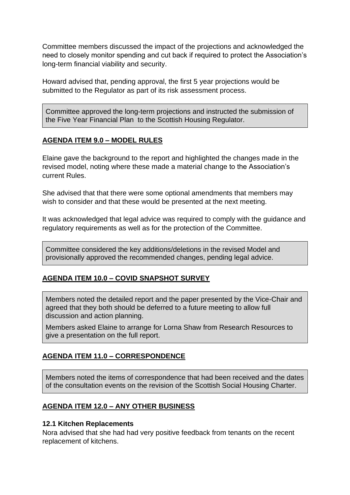Committee members discussed the impact of the projections and acknowledged the need to closely monitor spending and cut back if required to protect the Association's long-term financial viability and security.

Howard advised that, pending approval, the first 5 year projections would be submitted to the Regulator as part of its risk assessment process.

Committee approved the long-term projections and instructed the submission of the Five Year Financial Plan to the Scottish Housing Regulator.

# **AGENDA ITEM 9.0 – MODEL RULES**

Elaine gave the background to the report and highlighted the changes made in the revised model, noting where these made a material change to the Association's current Rules.

She advised that that there were some optional amendments that members may wish to consider and that these would be presented at the next meeting.

It was acknowledged that legal advice was required to comply with the guidance and regulatory requirements as well as for the protection of the Committee.

Committee considered the key additions/deletions in the revised Model and provisionally approved the recommended changes, pending legal advice.

# **AGENDA ITEM 10.0 – COVID SNAPSHOT SURVEY**

Members noted the detailed report and the paper presented by the Vice-Chair and agreed that they both should be deferred to a future meeting to allow full discussion and action planning.

Members asked Elaine to arrange for Lorna Shaw from Research Resources to give a presentation on the full report.

# **AGENDA ITEM 11.0 – CORRESPONDENCE**

Members noted the items of correspondence that had been received and the dates of the consultation events on the revision of the Scottish Social Housing Charter.

# **AGENDA ITEM 12.0 – ANY OTHER BUSINESS**

#### **12.1 Kitchen Replacements**

Nora advised that she had had very positive feedback from tenants on the recent replacement of kitchens.